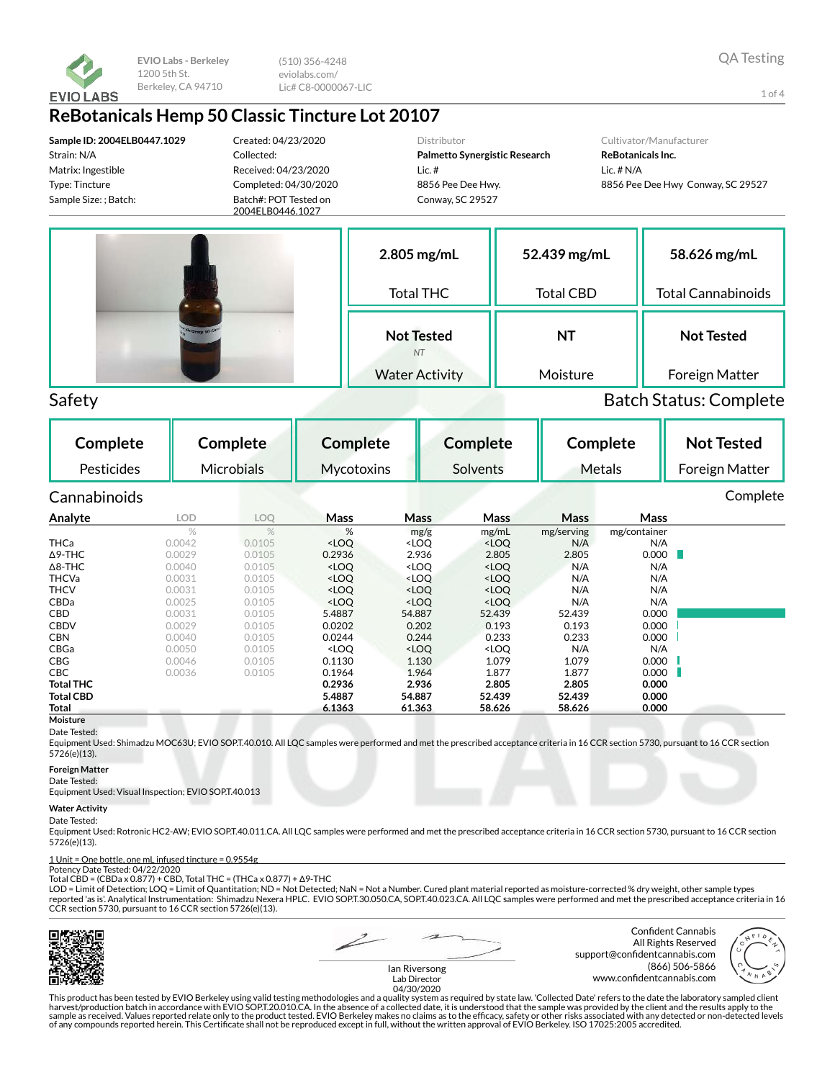

(510) 356-4248 eviolabs.com/ Lic# C8-0000067-LIC

## **ReBotanicals Hemp 50 Classic Tincture Lot 20107**

**Sample ID: 2004ELB0447.1029** Strain: N/A Matrix: Ingestible Type: Tincture Sample Size: ; Batch:

Created: 04/23/2020 Collected: Received: 04/23/2020 Completed: 04/30/2020 Batch#: POT Tested on

2004ELB0446.1027

Distributor

**2.805 mg/mL**

**Palmetto Synergistic Research** Lic. # 8856 Pee Dee Hwy. Conway, SC 29527

### Cultivator/Manufacturer

**ReBotanicals Inc.** Lic. # N/A 8856 Pee Dee Hwy Conway, SC 29527



Total THC **Not Tested** *NT* Water Activity Total CBD **NT** Moisture **58.626 mg/mL** Total Cannabinoids **Not Tested** Foreign Matter

**52.439 mg/mL**

## Safety Batch Status: Complete

**Complete** Pesticides **Complete** Microbials **Complete Mycotoxins Complete** Solvents **Complete** Metals **Not Tested** Foreign Matter Cannabinoids Complete **Analyte LOD LOQ Mass Mass Mass Mass Mass** mg/g mg/mL mg/serving mg/container<br><LOQ <LOQ N/A N/A THCa 0.0042 0.0105 <LOQ <LOQ <LOQ N/A N/A Δ9-THC 0.0029 0.0105 0.2936 2.936 2.805 2.805 0.000 Δ8-THC 0.0040 0.0105 <LOQ <LOQ <LOQ N/A N/A THCVa 0.0031 0.0105 <LOQ <LOQ <LOQ N/A N/A THCV 0.0031 0.0105 <LOQ <LOQ <LOQ N/A N/A CBDa 0.0025 0.0105 <LOQ <LOQ <LOQ N/A N/A CBD 0.0031 0.0105 5.4887 54.887 52.439 52.439 0.000 CBDV 0.0029 0.0105 0.0202 0.202 0.193 0.193 0.000 **CBN** 0.0040 0.0105 **0.0244 0.244 0.233 0.2033 0.000** CBGa 0.0050 0.0105 <LOQ <LOQ <LOQ N/A N/A **CBG** 0.0046 0.0105 **0.1130 1.130 1.079 1.079 0.000 CBC** 0.0036 0.0105 **0.1964 1.964 1.877 1.877 0.000 Total THC 0.2936 2.936 2.805 2.805 0.000 Total CBD 5.4887 54.887 52.439 52.439 0.000 Total 6.1363 61.363 58.626 58.626 0.000**

#### **Moisture** Date Tested:

Equipment Used: Shimadzu MOC63U; EVIO SOP.T.40.010. All LQC samples were performed and met the prescribed acceptance criteria in 16 CCR section 5730, pursuant to 16 CCR section 5726(e)(13).

#### **Foreign Matter**

Date Tested:

Equipment Used: Visual Inspection; EVIO SOP.T.40.013

#### **Water Activity**

#### Date Tested:

Equipment Used: Rotronic HC2-AW; EVIO SOP.T.40.011.CA. All LQC samples were performed and met the prescribed acceptance criteria in 16 CCR section 5730, pursuant to 16 CCR section 5726(e)(13).

## 1 Unit = One bottle, one mL infused tincture = 0.9554g Potency Date Tested: 04/22/2020

Total CBD = (CBDa x 0.877) + CBD, Total THC = (THCa x 0.877) + Δ9-THC

LOD = Limit of Detection; LOQ = Limit of Quantitation; ND = Not Detected; NaN = Not a Number. Cured plant material reported as moisture-corrected % dry weight, other sample types<br>reported 'as is'. Analytical Instrumentatio CCR section 5730, pursuant to 16 CCR section 5726(e)(13).



Confident Cannabis All Rights Reserved support@confidentcannabis.com (866) 506-5866 www.confidentcannabis.com



Ian Riversong Lab Director 04/30/2020

This product has been tested by EVIO Berkeley using valid testing methodologies and a quality system as required by state law. 'Collected Date' refers to the date the laboratory sampled client harvest/production batch in accordance with EVIO SOP.T.20.010.CA. In the absence of a collected date, it is understood that the sample was provided by the client and the results apply to the<br>sample as received. Values repo of any compounds reported herein. This Certificate shall not be reproduced except in full, without the written approval of EVIO Berkeley. ISO 17025:2005 accredited.

1 of 4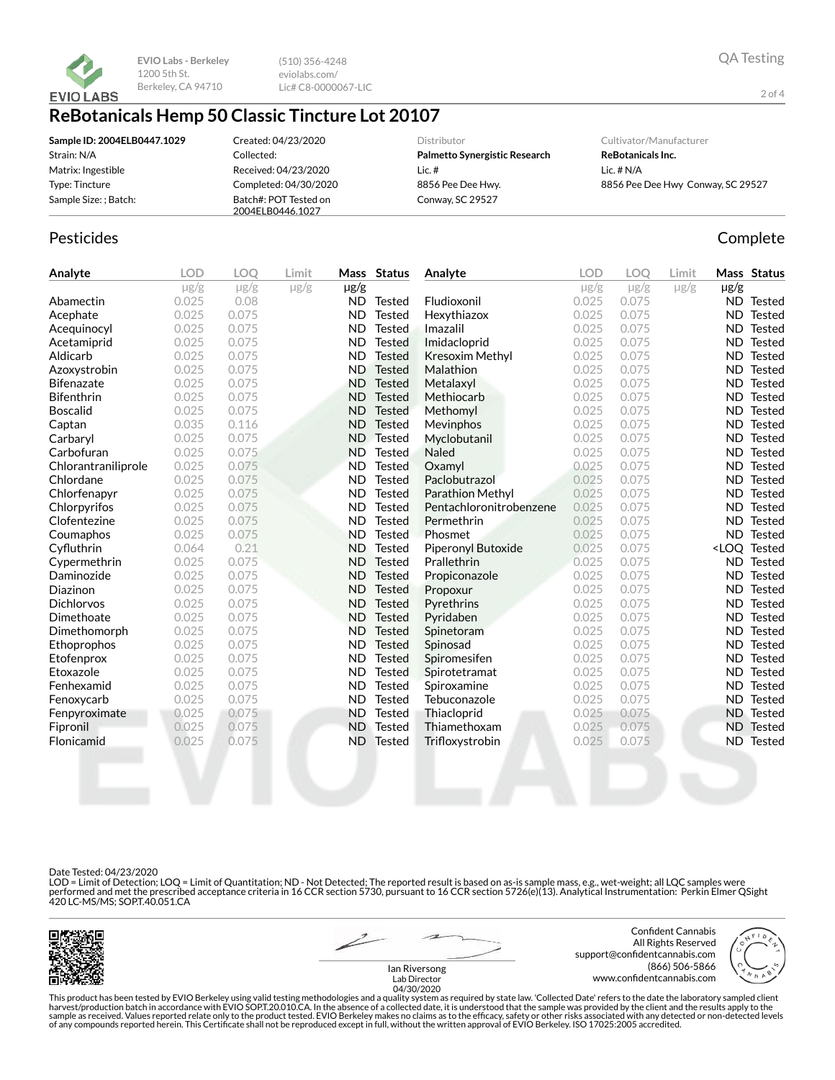

(510) 356-4248 eviolabs.com/ Lic# C8-0000067-LIC

# **ReBotanicals Hemp 50 Classic Tincture Lot 20107**

| Sample ID: 2004ELB0447.1029 | Created: 04/23/2020                       | Distributor                   | Cultivator/Manufacturer           |
|-----------------------------|-------------------------------------------|-------------------------------|-----------------------------------|
| Strain: N/A                 | Collected:                                | Palmetto Synergistic Research | <b>ReBotanicals Inc.</b>          |
| Matrix: Ingestible          | Received: 04/23/2020                      | Lic. #                        | Lic. $# N/A$                      |
| Type: Tincture              | Completed: 04/30/2020                     | 8856 Pee Dee Hwy.             | 8856 Pee Dee Hwy Conway, SC 29527 |
| Sample Size: ; Batch:       | Batch#: POT Tested on<br>2004ELB0446.1027 | Conway, SC 29527              |                                   |

### Pesticides **Complete**

| Analyte             | <b>LOD</b> | <b>LOO</b> | Limit     |           | Mass Status   | Analyte                   | <b>LOD</b> | <b>LOO</b> | Limit     |           | Mass Status                  |
|---------------------|------------|------------|-----------|-----------|---------------|---------------------------|------------|------------|-----------|-----------|------------------------------|
|                     | $\mu$ g/g  | $\mu$ g/g  | $\mu$ g/g | µg/g      |               |                           | $\mu$ g/g  | $\mu$ g/g  | $\mu$ g/g | $\mu$ g/g |                              |
| Abamectin           | 0.025      | 0.08       |           | <b>ND</b> | Tested        | Fludioxonil               | 0.025      | 0.075      |           |           | <b>ND</b> Tested             |
| Acephate            | 0.025      | 0.075      |           | <b>ND</b> | <b>Tested</b> | Hexythiazox               | 0.025      | 0.075      |           | ND.       | Tested                       |
| Acequinocyl         | 0.025      | 0.075      |           | <b>ND</b> | <b>Tested</b> | Imazalil                  | 0.025      | 0.075      |           | <b>ND</b> | Tested                       |
| Acetamiprid         | 0.025      | 0.075      |           | <b>ND</b> | <b>Tested</b> | Imidacloprid              | 0.025      | 0.075      |           | ND.       | <b>Tested</b>                |
| Aldicarb            | 0.025      | 0.075      |           | <b>ND</b> | <b>Tested</b> | <b>Kresoxim Methyl</b>    | 0.025      | 0.075      |           | ND.       | Tested                       |
| Azoxystrobin        | 0.025      | 0.075      |           | <b>ND</b> | <b>Tested</b> | Malathion                 | 0.025      | 0.075      |           | ND.       | Tested                       |
| <b>Bifenazate</b>   | 0.025      | 0.075      |           | <b>ND</b> | <b>Tested</b> | Metalaxyl                 | 0.025      | 0.075      |           | ND.       | Tested                       |
| <b>Bifenthrin</b>   | 0.025      | 0.075      |           | <b>ND</b> | <b>Tested</b> | Methiocarb                | 0.025      | 0.075      |           | ND.       | Tested                       |
| <b>Boscalid</b>     | 0.025      | 0.075      |           | <b>ND</b> | <b>Tested</b> | Methomyl                  | 0.025      | 0.075      |           | ND.       | Tested                       |
| Captan              | 0.035      | 0.116      |           | <b>ND</b> | <b>Tested</b> | Mevinphos                 | 0.025      | 0.075      |           | ND.       | Tested                       |
| Carbaryl            | 0.025      | 0.075      |           | <b>ND</b> | <b>Tested</b> | Myclobutanil              | 0.025      | 0.075      |           | ND.       | Tested                       |
| Carbofuran          | 0.025      | 0.075      |           | <b>ND</b> | <b>Tested</b> | <b>Naled</b>              | 0.025      | 0.075      |           | <b>ND</b> | Tested                       |
| Chlorantraniliprole | 0.025      | 0.075      |           | <b>ND</b> | <b>Tested</b> | Oxamyl                    | 0.025      | 0.075      |           | <b>ND</b> | Tested                       |
| Chlordane           | 0.025      | 0.075      |           | <b>ND</b> | <b>Tested</b> | Paclobutrazol             | 0.025      | 0.075      |           | ND.       | Tested                       |
| Chlorfenapyr        | 0.025      | 0.075      |           | <b>ND</b> | <b>Tested</b> | Parathion Methyl          | 0.025      | 0.075      |           | ND.       | Tested                       |
| Chlorpyrifos        | 0.025      | 0.075      |           | <b>ND</b> | <b>Tested</b> | Pentachloronitrobenzene   | 0.025      | 0.075      |           | ND.       | Tested                       |
| Clofentezine        | 0.025      | 0.075      |           | <b>ND</b> | <b>Tested</b> | Permethrin                | 0.025      | 0.075      |           | ND.       | Tested                       |
| Coumaphos           | 0.025      | 0.075      |           | <b>ND</b> | <b>Tested</b> | Phosmet                   | 0.025      | 0.075      |           | ND.       | Tested                       |
| Cyfluthrin          | 0.064      | 0.21       |           | <b>ND</b> | <b>Tested</b> | <b>Piperonyl Butoxide</b> | 0.025      | 0.075      |           |           | <loq tested<="" th=""></loq> |
| Cypermethrin        | 0.025      | 0.075      |           | <b>ND</b> | <b>Tested</b> | Prallethrin               | 0.025      | 0.075      |           |           | <b>ND</b> Tested             |
| Daminozide          | 0.025      | 0.075      |           | <b>ND</b> | <b>Tested</b> | Propiconazole             | 0.025      | 0.075      |           | ND.       | Tested                       |
| Diazinon            | 0.025      | 0.075      |           | <b>ND</b> | <b>Tested</b> | Propoxur                  | 0.025      | 0.075      |           | <b>ND</b> | Tested                       |
| <b>Dichlorvos</b>   | 0.025      | 0.075      |           | <b>ND</b> | <b>Tested</b> | Pyrethrins                | 0.025      | 0.075      |           | ND.       | Tested                       |
| Dimethoate          | 0.025      | 0.075      |           | <b>ND</b> | <b>Tested</b> | Pyridaben                 | 0.025      | 0.075      |           | ND.       | <b>Tested</b>                |
| Dimethomorph        | 0.025      | 0.075      |           | <b>ND</b> | <b>Tested</b> | Spinetoram                | 0.025      | 0.075      |           | ND.       | Tested                       |
| Ethoprophos         | 0.025      | 0.075      |           | <b>ND</b> | <b>Tested</b> | Spinosad                  | 0.025      | 0.075      |           | ND.       | Tested                       |
| Etofenprox          | 0.025      | 0.075      |           | ND.       | <b>Tested</b> | Spiromesifen              | 0.025      | 0.075      |           | ND.       | Tested                       |
| Etoxazole           | 0.025      | 0.075      |           | <b>ND</b> | <b>Tested</b> | Spirotetramat             | 0.025      | 0.075      |           | ND.       | Tested                       |
| Fenhexamid          | 0.025      | 0.075      |           | <b>ND</b> | <b>Tested</b> | Spiroxamine               | 0.025      | 0.075      |           | ND.       | Tested                       |
| Fenoxycarb          | 0.025      | 0.075      |           | <b>ND</b> | <b>Tested</b> | Tebuconazole              | 0.025      | 0.075      |           | ND.       | Tested                       |
| Fenpyroximate       | 0.025      | 0.075      |           | <b>ND</b> | <b>Tested</b> | Thiacloprid               | 0.025      | 0.075      |           |           | <b>ND</b> Tested             |
| Fipronil            | 0.025      | 0.075      |           | <b>ND</b> | Tested        | Thiamethoxam              | 0.025      | 0.075      |           | ND.       | Tested                       |
| Flonicamid          | 0.025      | 0.075      |           | <b>ND</b> | Tested        | Trifloxystrobin           | 0.025      | 0.075      |           | ND.       | Tested                       |
|                     |            |            |           |           |               |                           |            |            |           |           |                              |

Date Tested: 04/23/2020

LOD = Limit of Detection; LOQ = Limit of Quantitation; ND - Not Detected; The reported result is based on as-is sample mass, e.g., wet-weight; all LQC samples were<br>performed and met the prescribed acceptance criteria in 16



Ian Riversong

Confident Cannabis All Rights Reserved support@confidentcannabis.com (866) 506-5866 www.confidentcannabis.com

2 of 4

This product has been tested by EVIO Berkeley using valid testing methodologies and a quality system as required by state law. 'Collected Date' refers to the date the laboratory sampled client<br>harvest/production batch in a

Lab Director 04/30/2020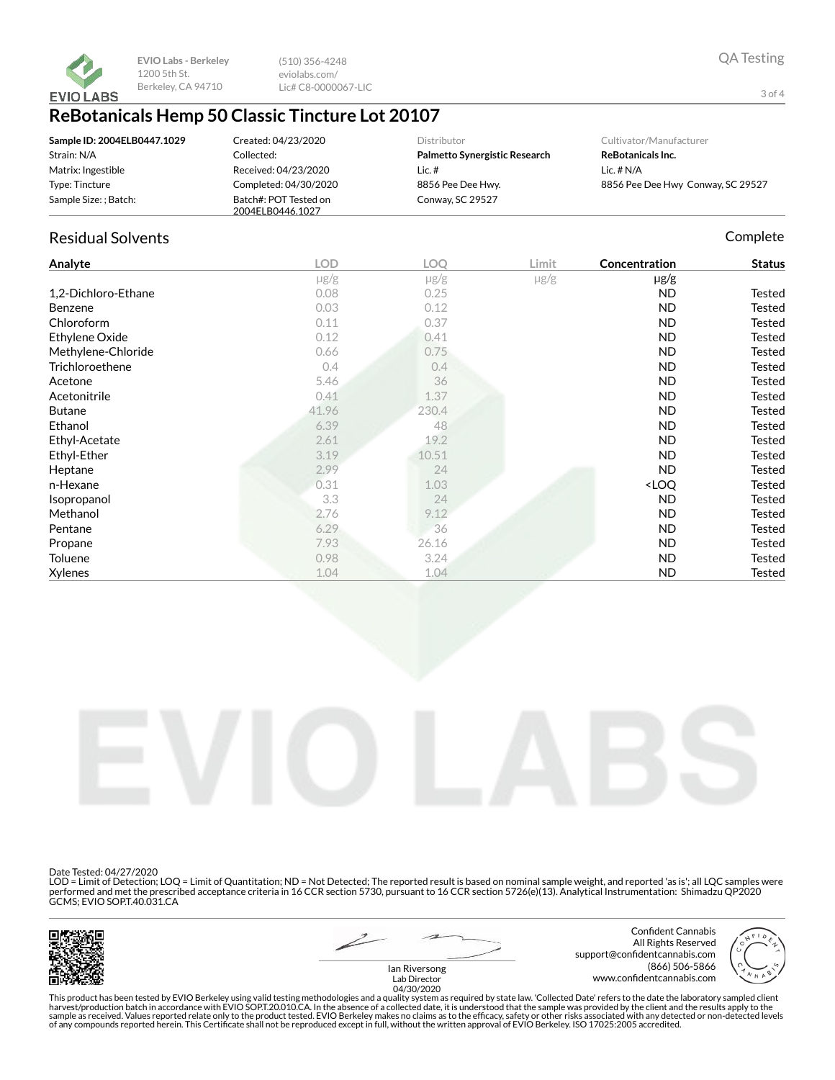

(510) 356-4248 eviolabs.com/ Lic# C8-0000067-LIC

## **ReBotanicals Hemp 50 Classic Tincture Lot 20107**

| Sample ID: 2004ELB0447.1029 | Created: 04/23/2020   | <b>Distributor</b>            | Cultivator/Manufacturer           |
|-----------------------------|-----------------------|-------------------------------|-----------------------------------|
| Strain: N/A                 | Collected:            | Palmetto Synergistic Research | ReBotanicals Inc.                 |
| Matrix: Ingestible          | Received: 04/23/2020  | Lic.#                         | Lic. $# N/A$                      |
| Type: Tincture              | Completed: 04/30/2020 | 8856 Pee Dee Hwy.             | 8856 Pee Dee Hwy Conway, SC 29527 |
| Sample Size: ; Batch:       | Batch#: POT Tested on | Conway, SC 29527              |                                   |
|                             | 2004ELB0446.1027      |                               |                                   |

### Residual Solvents **Complete** Complete Complete Complete Complete Complete Complete

| Analyte             | <b>LOD</b> | LOQ       | Limit     | Concentration                      | <b>Status</b> |
|---------------------|------------|-----------|-----------|------------------------------------|---------------|
|                     | $\mu$ g/g  | $\mu$ g/g | $\mu$ g/g | $\mu$ g/g                          |               |
| 1,2-Dichloro-Ethane | 0.08       | 0.25      |           | ND                                 | Tested        |
| Benzene             | 0.03       | 0.12      |           | <b>ND</b>                          | Tested        |
| Chloroform          | 0.11       | 0.37      |           | ND                                 | Tested        |
| Ethylene Oxide      | 0.12       | 0.41      |           | ND                                 | Tested        |
| Methylene-Chloride  | 0.66       | 0.75      |           | <b>ND</b>                          | Tested        |
| Trichloroethene     | 0.4        | 0.4       |           | <b>ND</b>                          | Tested        |
| Acetone             | 5.46       | 36        |           | ND                                 | Tested        |
| Acetonitrile        | 0.41       | 1.37      |           | <b>ND</b>                          | Tested        |
| <b>Butane</b>       | 41.96      | 230.4     |           | <b>ND</b>                          | Tested        |
| Ethanol             | 6.39       | 48        |           | ND                                 | Tested        |
| Ethyl-Acetate       | 2.61       | 19.2      |           | <b>ND</b>                          | Tested        |
| Ethyl-Ether         | 3.19       | 10.51     |           | <b>ND</b>                          | Tested        |
| Heptane             | 2.99       | 24        |           | ND                                 | Tested        |
| n-Hexane            | 0.31       | 1.03      |           | <loq< th=""><th>Tested</th></loq<> | Tested        |
| Isopropanol         | 3.3        | 24        |           | <b>ND</b>                          | Tested        |
| Methanol            | 2.76       | 9.12      |           | <b>ND</b>                          | <b>Tested</b> |
| Pentane             | 6.29       | 36        |           | ND                                 | Tested        |
| Propane             | 7.93       | 26.16     |           | ND                                 | Tested        |
| Toluene             | 0.98       | 3.24      |           | ND                                 | <b>Tested</b> |
| Xylenes             | 1.04       | 1.04      |           | <b>ND</b>                          | <b>Tested</b> |



Date Tested: 04/27/2020

LOD = Limit of Detection; LOQ = Limit of Quantitation; ND = Not Detected; The reported result is based on nominal sample weight, and reported 'as is'; all LQC samples were performed and met the prescribed acceptance criteria in 16 CCR section 5730, pursuant to 16 CCR section 5726(e)(13). Analytical Instrumentation: Shimadzu QP2020 GCMS; EVIO SOP.T.40.031.CA



Confident Cannabis All Rights Reserved support@confidentcannabis.com (866) 506-5866 www.confidentcannabis.com



This product has been tested by EVIO Berkeley using valid testing methodologies and a quality system as required by state law. 'Collected Date' refers to the date the laboratory sampled client<br>harvest/production batch in a

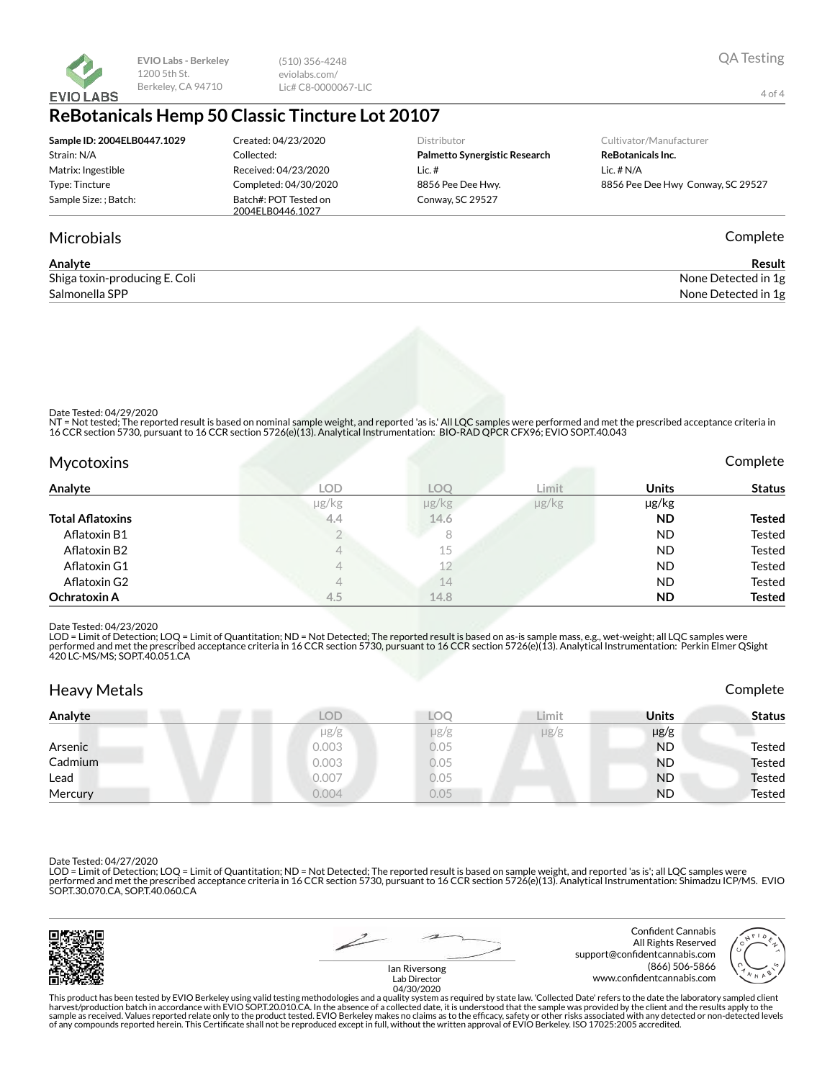

(510) 356-4248 eviolabs.com/ Lic# C8-0000067-LIC

## **ReBotanicals Hemp 50 Classic Tincture Lot 20107**

| Sample ID: 2004ELB0447.1029 | Created: 04/23/2020                       | <b>Distributor</b>            | Cultivator/Manufacturer  |
|-----------------------------|-------------------------------------------|-------------------------------|--------------------------|
| Strain: N/A                 | Collected:                                | Palmetto Synergistic Research | <b>ReBotanicals Inc.</b> |
| Matrix: Ingestible          | Received: 04/23/2020                      | Lic.#                         | Lic. $# N/A$             |
| Type: Tincture              | Completed: 04/30/2020                     | 8856 Pee Dee Hwy.             | 8856 Pee Dee Hwy Conv    |
| Sample Size: ; Batch:       | Batch#: POT Tested on<br>2004ELB0446.1027 | Conway, SC 29527              |                          |
|                             |                                           |                               |                          |

### Microbials Complete

| Analyte                       | Result              |
|-------------------------------|---------------------|
| Shiga toxin-producing E. Coli | None Detected in 1g |
| Salmonella SPP                | None Detected in 1g |

Date Tested: 04/29/2020

NT = Not tested; The reported result is based on nominal sample weight, and reported 'as is.' All LQC samples were performed and met the prescribed acceptance criteria in<br>16 CCR section 5730, pursuant to 16 CCR section 572

| Mycotoxins              |            |                      |               |              | Complete      |
|-------------------------|------------|----------------------|---------------|--------------|---------------|
| Analyte                 | <b>LOD</b> | LOO                  | Limit         | <b>Units</b> | <b>Status</b> |
|                         | µg/kg      | $\mu$ g/ $\text{kg}$ | $\mu$ g/ $kg$ | µg/kg        |               |
| <b>Total Aflatoxins</b> | 4,4        | 14.6                 |               | <b>ND</b>    | <b>Tested</b> |
| Aflatoxin B1            |            | 8                    |               | <b>ND</b>    | <b>Tested</b> |
| Aflatoxin B2            | 4          | 15                   |               | <b>ND</b>    | Tested        |
| Aflatoxin G1            |            | 12                   |               | <b>ND</b>    | Tested        |
| Aflatoxin G2            |            | 14                   |               | <b>ND</b>    | <b>Tested</b> |
| <b>Ochratoxin A</b>     | 4.5        | 14.8                 |               | <b>ND</b>    | <b>Tested</b> |

#### Date Tested: 04/23/2020

LOD = Limit of Detection; LOQ = Limit of Quantitation; ND = Not Detected; The reported result is based on as-is sample mass, e.g., wet-weight; all LQC samples were performed and met the prescribed acceptance criteria in 16 CCR section 5730, pursuant to 16 CCR section 5726(e)(13). Analytical Instrumentation: Perkin Elmer QSight<br>420 LC-MS/MS; SOP.T.40.051.CA

| <b>Heavy Metals</b> |            |                             |           |              | Complete      |
|---------------------|------------|-----------------------------|-----------|--------------|---------------|
| Analyte             | <b>LOD</b> | $\overline{\mathcal{L}}$ OC | Limit     | <b>Units</b> | Status        |
|                     | $\mu$ g/g  | $\mu$ g/g                   | $\mu$ g/g | $\mu$ g/g    |               |
| Arsenic             | 0.003      | 0.05                        |           | <b>ND</b>    | Tested        |
| Cadmium             | 0.003      | 0.05                        |           | <b>ND</b>    | <b>Tested</b> |
| Lead                | 0.007      | 0.05                        |           | <b>ND</b>    | <b>Tested</b> |
| Mercury             | 0.004      | 0.05                        |           | <b>ND</b>    | Tested        |

Date Tested: 04/27/2020

LOD = Limit of Detection; LOQ = Limit of Quantitation; ND = Not Detected; The reported result is based on sample weight, and reported 'as is'; all LQC samples were performed and met the prescribed acceptance criteria in 16 CCR section 5730, pursuant to 16 CCR section 5726(e)(13). Analytical Instrumentation: Shimadzu ICP/MS. EVIO<br>SOP.T.30.070.CA, SOP.T.40.060.CA





Confident Cannabis All Rights Reserved support@confidentcannabis.com (866) 506-5866

Bet Hwy Conway, SC 29527

4 of 4





Ian Riversong Lab Director 04/30/2020

This product has been tested by EVIO Berkeley using valid testing methodologies and a quality system as required by state law. 'Collected Date' refers to the date the laboratory sampled client<br>harvest/production batch in a of any compounds reported herein. This Certificate shall not be reproduced except in full, without the written approval of EVIO Berkeley. ISO 17025:2005 accredited.